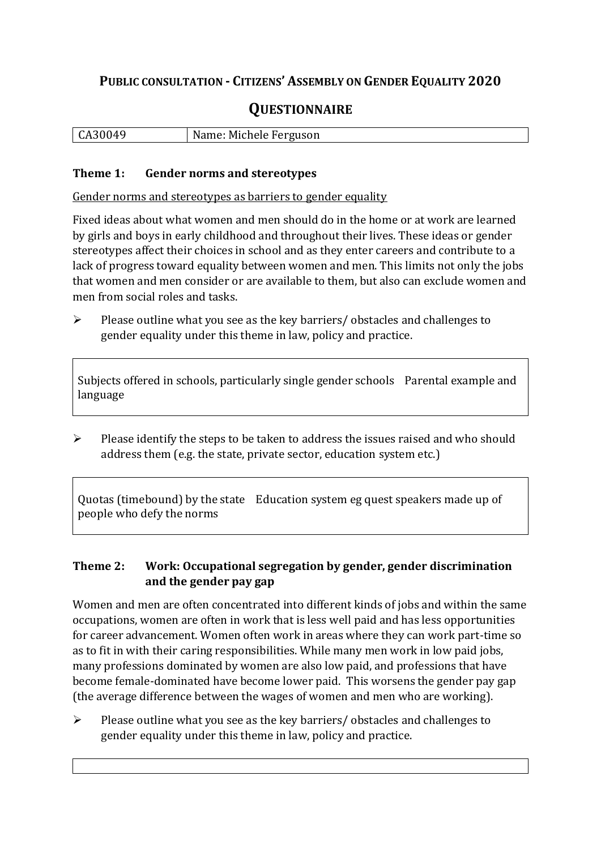## **PUBLIC CONSULTATION - CITIZENS' ASSEMBLY ON GENDER EQUALITY 2020**

# **QUESTIONNAIRE**

|  | $\vert$ CA30049 | Name: Michele Ferguson |
|--|-----------------|------------------------|
|--|-----------------|------------------------|

#### **Theme 1: Gender norms and stereotypes**

Gender norms and stereotypes as barriers to gender equality

Fixed ideas about what women and men should do in the home or at work are learned by girls and boys in early childhood and throughout their lives. These ideas or gender stereotypes affect their choices in school and as they enter careers and contribute to a lack of progress toward equality between women and men. This limits not only the jobs that women and men consider or are available to them, but also can exclude women and men from social roles and tasks.

➢ Please outline what you see as the key barriers/ obstacles and challenges to gender equality under this theme in law, policy and practice.

Subjects offered in schools, particularly single gender schools Parental example and language

 $\triangleright$  Please identify the steps to be taken to address the issues raised and who should address them (e.g. the state, private sector, education system etc.)

Quotas (timebound) by the state Education system eg quest speakers made up of people who defy the norms

#### **Theme 2: Work: Occupational segregation by gender, gender discrimination and the gender pay gap**

Women and men are often concentrated into different kinds of jobs and within the same occupations, women are often in work that is less well paid and has less opportunities for career advancement. Women often work in areas where they can work part-time so as to fit in with their caring responsibilities. While many men work in low paid jobs, many professions dominated by women are also low paid, and professions that have become female-dominated have become lower paid. This worsens the gender pay gap (the average difference between the wages of women and men who are working).

➢ Please outline what you see as the key barriers/ obstacles and challenges to gender equality under this theme in law, policy and practice.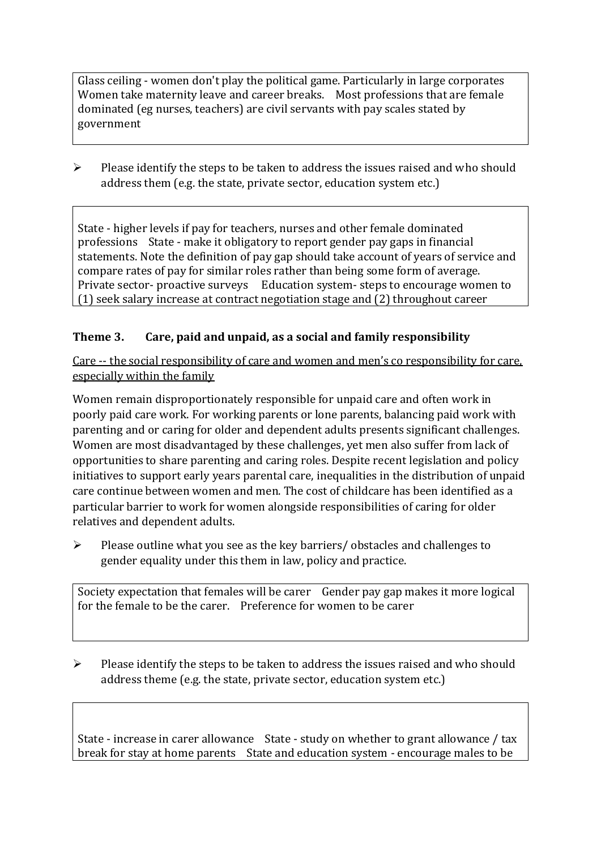Glass ceiling - women don't play the political game. Particularly in large corporates Women take maternity leave and career breaks. Most professions that are female dominated (eg nurses, teachers) are civil servants with pay scales stated by government

➢ Please identify the steps to be taken to address the issues raised and who should address them (e.g. the state, private sector, education system etc.)

State - higher levels if pay for teachers, nurses and other female dominated professions State - make it obligatory to report gender pay gaps in financial statements. Note the definition of pay gap should take account of years of service and compare rates of pay for similar roles rather than being some form of average. Private sector- proactive surveys Education system- steps to encourage women to (1) seek salary increase at contract negotiation stage and (2) throughout career

#### **Theme 3. Care, paid and unpaid, as a social and family responsibility**

Care -- the social responsibility of care and women and men's co responsibility for care, especially within the family

Women remain disproportionately responsible for unpaid care and often work in poorly paid care work. For working parents or [lone parents,](https://aran.library.nuigalway.ie/bitstream/handle/10379/6044/Millar_and_Crosse_Activation_Report.pdf?sequence=1&isAllowed=y) balancing paid work with parenting and or caring for older and dependent adults presents significant challenges. Women are [most disadvantaged by these challenges,](https://eige.europa.eu/gender-equality-index/game/IE/W) yet men also suffer from lack of opportunities to share parenting and caring roles. Despite recent legislation and policy initiatives to support early years parental care, [inequalities in the distribution of unpaid](https://www.ihrec.ie/app/uploads/2019/07/Caring-and-Unpaid-Work-in-Ireland_Final.pdf)  [care](https://www.ihrec.ie/app/uploads/2019/07/Caring-and-Unpaid-Work-in-Ireland_Final.pdf) continue between women and men. The cost of childcare has been identified as a particular barrier to work for women alongside responsibilities of caring for older relatives and dependent adults.

➢ Please outline what you see as the key barriers/ obstacles and challenges to gender equality under this them in law, policy and practice.

Society expectation that females will be carer Gender pay gap makes it more logical for the female to be the carer. Preference for women to be carer

➢ Please identify the steps to be taken to address the issues raised and who should address theme (e.g. the state, private sector, education system etc.)

State - increase in carer allowance State - study on whether to grant allowance / tax break for stay at home parents State and education system - encourage males to be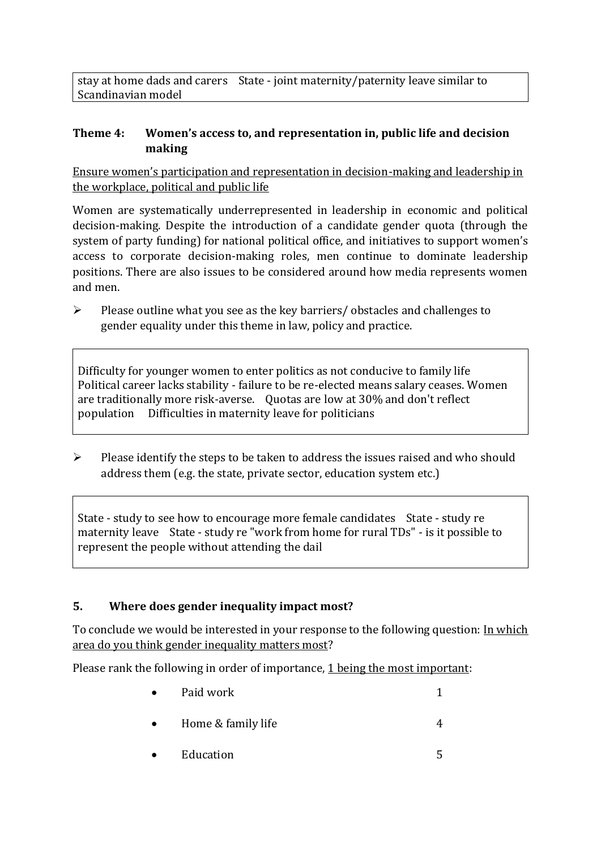stay at home dads and carers State - joint maternity/paternity leave similar to Scandinavian model

#### **Theme 4: Women's access to, and representation in, public life and decision making**

Ensure women's participation and representation in decision-making and leadership in the workplace, political and public life

Women are systematically underrepresented in leadership in [economic](https://eige.europa.eu/gender-equality-index/2019/compare-countries/power/2/bar) and [political](https://eige.europa.eu/gender-equality-index/2019/compare-countries/power/1/bar)  [decision-](https://eige.europa.eu/gender-equality-index/2019/compare-countries/power/1/bar)making. Despite the introduction of a candidate gender quota (through the system of party funding) for national political office, and [initiatives](https://betterbalance.ie/) to support women's access to corporate decision-making roles, men continue to dominate leadership positions. There are also issues to be considered around how media represents women and men.

➢ Please outline what you see as the key barriers/ obstacles and challenges to gender equality under this theme in law, policy and practice.

Difficulty for younger women to enter politics as not conducive to family life Political career lacks stability - failure to be re-elected means salary ceases. Women are traditionally more risk-averse. Quotas are low at 30% and don't reflect population Difficulties in maternity leave for politicians

 $\triangleright$  Please identify the steps to be taken to address the issues raised and who should address them (e.g. the state, private sector, education system etc.)

State - study to see how to encourage more female candidates State - study re maternity leave State - study re "work from home for rural TDs" - is it possible to represent the people without attending the dail

### **5. Where does gender inequality impact most?**

To conclude we would be interested in your response to the following question: In which area do you think gender inequality matters most?

Please rank the following in order of importance, 1 being the most important:

- **Paid work** 1 • Home  $\&$  family life  $\qquad \qquad \qquad \text{4}$ 
	- Education 5